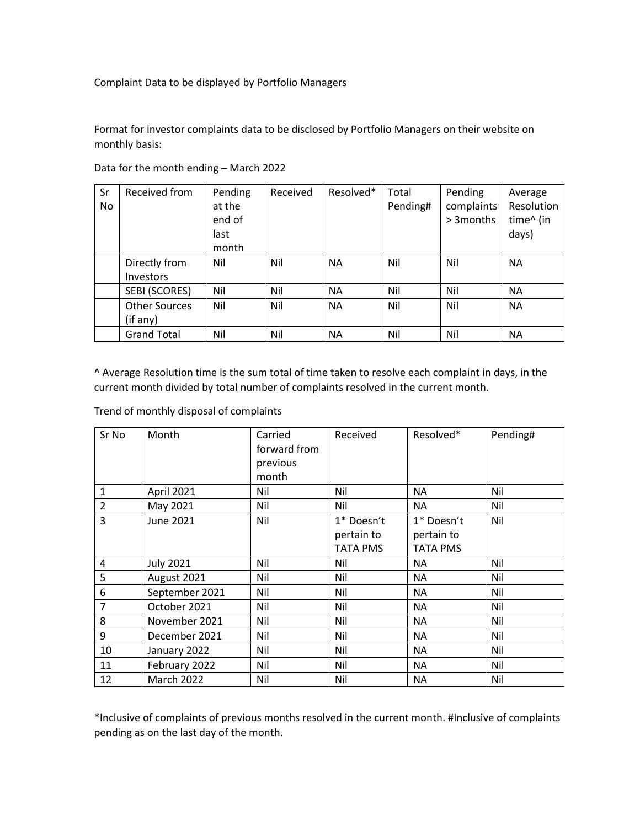Complaint Data to be displayed by Portfolio Managers

Format for investor complaints data to be disclosed by Portfolio Managers on their website on monthly basis:

| Sr<br>No | Received from        | Pending<br>at the<br>end of<br>last<br>month | Received | Resolved* | Total<br>Pending# | Pending<br>complaints<br>> 3 months | Average<br>Resolution<br>time^ (in<br>days) |
|----------|----------------------|----------------------------------------------|----------|-----------|-------------------|-------------------------------------|---------------------------------------------|
|          | Directly from        | Nil                                          | Nil      | <b>NA</b> | Nil               | Nil                                 | <b>NA</b>                                   |
|          | <b>Investors</b>     |                                              |          |           |                   |                                     |                                             |
|          | SEBI (SCORES)        | Nil                                          | Nil      | <b>NA</b> | Nil               | Nil                                 | <b>NA</b>                                   |
|          | <b>Other Sources</b> | Nil                                          | Nil      | <b>NA</b> | Nil               | Nil                                 | <b>NA</b>                                   |
|          | (if any)             |                                              |          |           |                   |                                     |                                             |
|          | <b>Grand Total</b>   | Nil                                          | Nil      | <b>NA</b> | Nil               | Nil                                 | <b>NA</b>                                   |

Data for the month ending – March 2022

^ Average Resolution time is the sum total of time taken to resolve each complaint in days, in the current month divided by total number of complaints resolved in the current month.

Trend of monthly disposal of complaints

| Sr No          | Month            | Carried      | Received   | Resolved*  | Pending# |
|----------------|------------------|--------------|------------|------------|----------|
|                |                  | forward from |            |            |          |
|                |                  | previous     |            |            |          |
|                |                  | month        |            |            |          |
| $\mathbf{1}$   | April 2021       | Nil          | Nil        | ΝA         | Nil      |
| $\overline{2}$ | May 2021         | Nil          | Nil        | NA         | Nil      |
| 3              | <b>June 2021</b> | Nil          | 1* Doesn't | 1* Doesn't | Nil      |
|                |                  |              | pertain to | pertain to |          |
|                |                  |              | TATA PMS   | TATA PMS   |          |
| 4              | <b>July 2021</b> | Nil          | Nil        | ΝA         | Nil      |
| 5              | August 2021      | Nil          | Nil        | NA         | Nil      |
| 6              | September 2021   | Nil          | Nil        | NA         | Nil      |
| 7              | October 2021     | Nil          | Nil        | NA         | Nil      |
| 8              | November 2021    | Nil          | Nil        | NA.        | Nil      |
| 9              | December 2021    | Nil          | Nil        | NA         | Nil      |
| 10             | January 2022     | Nil          | Nil        | NA         | Nil      |
| 11             | February 2022    | Nil          | Nil        | NA         | Nil      |
| 12             | March 2022       | Nil          | Nil        | <b>NA</b>  | Nil      |

\*Inclusive of complaints of previous months resolved in the current month. #Inclusive of complaints pending as on the last day of the month.